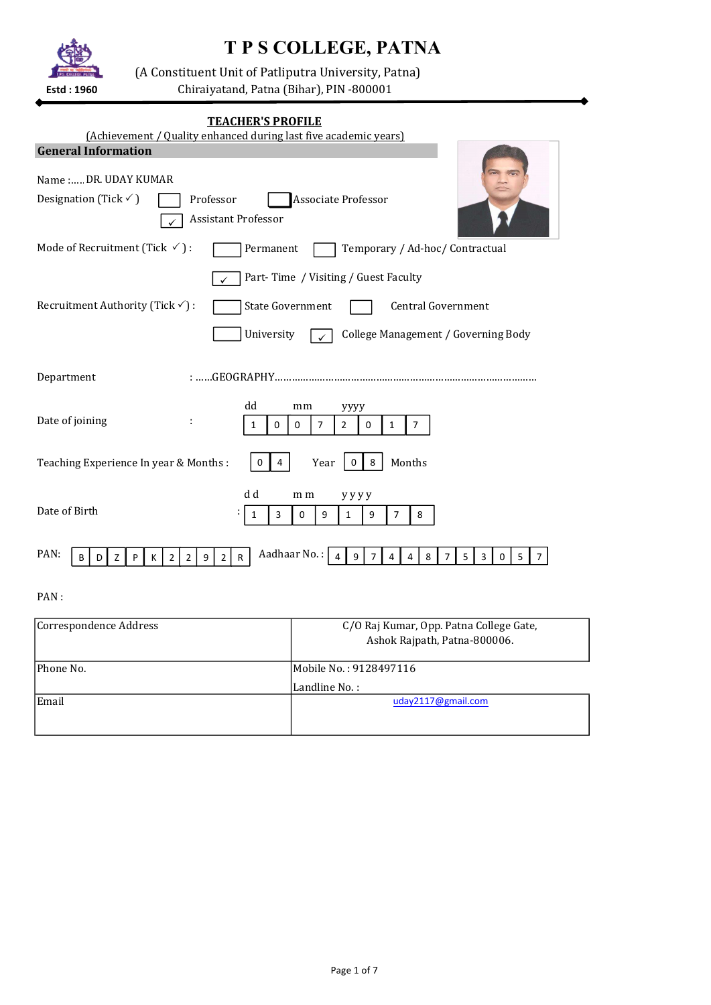# T P S COLLEGE, PATNA



(A Constituent Unit of Patliputra University, Patna)

Chiraiyatand, Patna (Bihar), PIN -800001 Estd : 1960

| <b>TEACHER'S PROFILE</b><br>(Achievement / Quality enhanced during last five academic years)                                                                                                              |
|-----------------------------------------------------------------------------------------------------------------------------------------------------------------------------------------------------------|
| <b>General Information</b>                                                                                                                                                                                |
| Name : DR. UDAY KUMAR                                                                                                                                                                                     |
| <b>Associate Professor</b><br>Designation (Tick $\checkmark$ )<br>Professor                                                                                                                               |
| <b>Assistant Professor</b>                                                                                                                                                                                |
| Mode of Recruitment (Tick $\checkmark$ ):<br>Temporary / Ad-hoc/ Contractual<br>Permanent                                                                                                                 |
| Part-Time / Visiting / Guest Faculty                                                                                                                                                                      |
| Recruitment Authority (Tick $\checkmark$ ) :<br><b>State Government</b><br><b>Central Government</b>                                                                                                      |
| University<br>College Management / Governing Body                                                                                                                                                         |
| Department                                                                                                                                                                                                |
| dd<br>mm<br>уууу<br>Date of joining<br>÷<br>$\overline{7}$<br>$\overline{2}$<br>$\overline{7}$<br>0<br>0<br>0<br>1<br>$\mathbf{1}$                                                                        |
| Months<br>Teaching Experience In year & Months:<br>8<br>Year<br>$\mathbf 0$<br>0<br>4                                                                                                                     |
| d d<br>m m<br>yyyy<br>Date of Birth<br>0<br>$\overline{7}$<br>8<br>3<br>9<br>9<br>1<br>1                                                                                                                  |
| Aadhaar No.:<br>PAN:<br>9<br>8<br>$\overline{7}$<br>4<br>$\overline{7}$<br>5<br>3<br>5<br>$\overline{2}$<br>$\overline{2}$<br>9<br>2 <sup>1</sup><br>$\mathsf{R}$<br>4<br>0<br>7<br>B<br>D<br>z<br>P<br>к |

## PAN :

| Correspondence Address | C/O Raj Kumar, Opp. Patna College Gate,<br>Ashok Rajpath, Patna-800006. |
|------------------------|-------------------------------------------------------------------------|
| <b>IPhone No.</b>      | Mobile No. : 9128497116                                                 |
|                        | Landline No. :                                                          |
| <b>Email</b>           | uday2117@gmail.com                                                      |
|                        |                                                                         |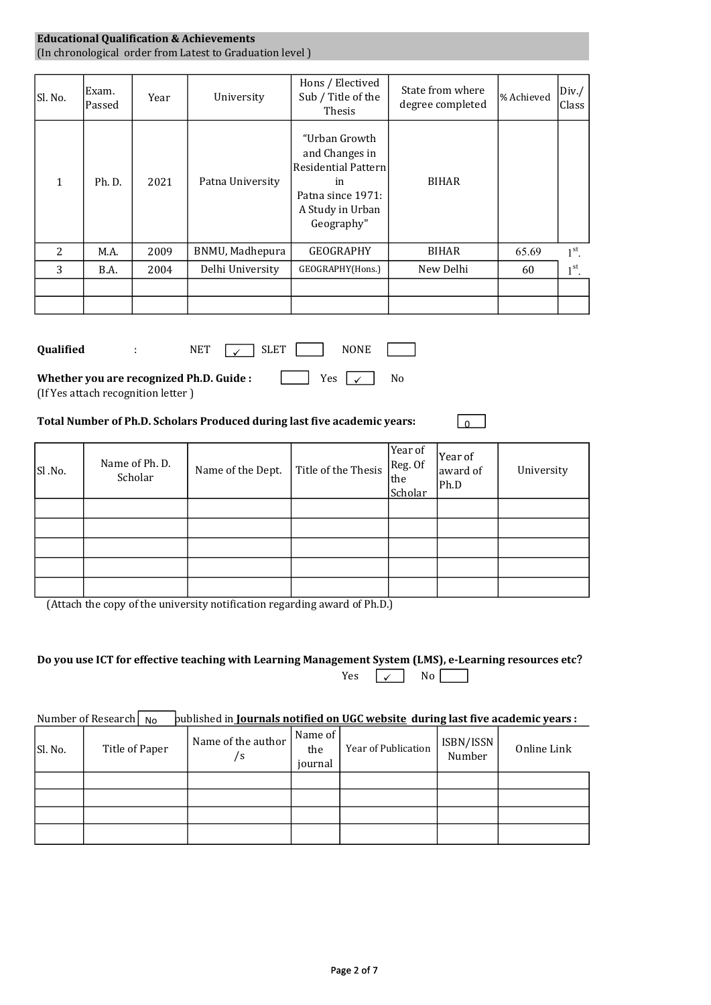### Educational Qualification & Achievements (In chronological order from Latest to Graduation level )

| Sl. No.      | Exam.<br>Passed | Year | University       | Hons / Electived<br>Sub / Title of the<br>Thesis                                                                    | State from where<br>degree completed | % Achieved | Div. /<br>Class |
|--------------|-----------------|------|------------------|---------------------------------------------------------------------------------------------------------------------|--------------------------------------|------------|-----------------|
| $\mathbf{1}$ | Ph. D.          | 2021 | Patna University | "Urban Growth<br>and Changes in<br>Residential Pattern<br>in<br>Patna since 1971:<br>A Study in Urban<br>Geography" | <b>BIHAR</b>                         |            |                 |
| 2            | M.A.            | 2009 | BNMU, Madhepura  | <b>GEOGRAPHY</b>                                                                                                    | <b>BIHAR</b>                         | 65.69      | $1st$ .         |
| 3            | B.A.            | 2004 | Delhi University | GEOGRAPHY(Hons.)                                                                                                    | New Delhi                            | 60         | $1st$ .         |
|              |                 |      |                  |                                                                                                                     |                                      |            |                 |
|              |                 |      |                  |                                                                                                                     |                                      |            |                 |

| <b>Oualified</b>                         | <b>NET</b> | SLET | <b>NONE</b>            |                |  |  |
|------------------------------------------|------------|------|------------------------|----------------|--|--|
| Whether you are recognized Ph.D. Guide : |            |      | Yes $\vert \checkmark$ | N <sub>0</sub> |  |  |

(If Yes attach recognition letter )

#### Total Number of Ph.D. Scholars Produced during last five academic years:

| Sl.No. | Name of Ph. D.<br>Scholar | Name of the Dept. | $\vert$ Title of the Thesis $\vert$ Reg. Of | Year of<br>the<br>Scholar | Year of<br>award of<br>Ph.D | University |
|--------|---------------------------|-------------------|---------------------------------------------|---------------------------|-----------------------------|------------|
|        |                           |                   |                                             |                           |                             |            |
|        |                           |                   |                                             |                           |                             |            |
|        |                           |                   |                                             |                           |                             |            |
|        |                           |                   |                                             |                           |                             |            |
|        |                           |                   |                                             |                           |                             |            |

 $\overline{0}$ 

(Attach the copy of the university notification regarding award of Ph.D.)

| Do you use ICT for effective teaching with Learning Management System (LMS), e-Learning resources etc? |  |                              |  |
|--------------------------------------------------------------------------------------------------------|--|------------------------------|--|
|                                                                                                        |  | Yes $\sqrt{ }$ No $\sqrt{ }$ |  |

#### Number of Research  $\vert$  No  $\vert$  published in Journals notified on UGC website during last five academic years :

| SI. No. | Title of Paper | Name of the author<br>/s | Name of<br>the<br>journal | Year of Publication | ISBN/ISSN<br>Number | Online Link |
|---------|----------------|--------------------------|---------------------------|---------------------|---------------------|-------------|
|         |                |                          |                           |                     |                     |             |
|         |                |                          |                           |                     |                     |             |
|         |                |                          |                           |                     |                     |             |
|         |                |                          |                           |                     |                     |             |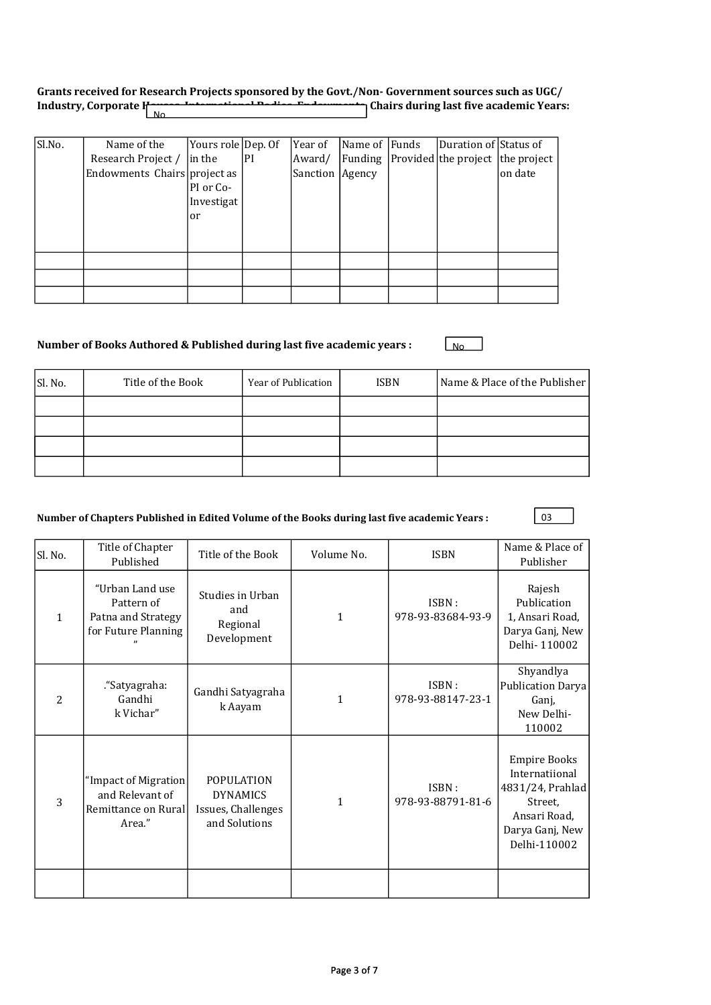## Grants received for Research Projects sponsored by the Govt./Non- Government sources such as UGC/ Industry, Corporate Hausenberg Little Bodies Bodies (Chairs during last five academic Years:

| Sl.No. | Name of the                  | Yours role Dep. Of |    | Year of           | Name of Funds | Duration of Status of            |         |
|--------|------------------------------|--------------------|----|-------------------|---------------|----------------------------------|---------|
|        | Research Project /           | lin the            | PI | Award/            | Funding       | Provided the project the project |         |
|        | Endowments Chairs project as |                    |    | Sanction   Agency |               |                                  | on date |
|        |                              | PI or Co-          |    |                   |               |                                  |         |
|        |                              | Investigat         |    |                   |               |                                  |         |
|        |                              | or                 |    |                   |               |                                  |         |
|        |                              |                    |    |                   |               |                                  |         |
|        |                              |                    |    |                   |               |                                  |         |
|        |                              |                    |    |                   |               |                                  |         |
|        |                              |                    |    |                   |               |                                  |         |
|        |                              |                    |    |                   |               |                                  |         |

## Number of Books Authored & Published during last five academic years :

| Sl. No. | Title of the Book | Year of Publication | <b>ISBN</b> | Name & Place of the Publisher |
|---------|-------------------|---------------------|-------------|-------------------------------|
|         |                   |                     |             |                               |
|         |                   |                     |             |                               |
|         |                   |                     |             |                               |
|         |                   |                     |             |                               |

## Number of Chapters Published in Edited Volume of the Books during last five academic Years :

|--|

No settlement of the settlement of the settlement of the settlement of the settlement of the settlement of the

| Sl. No.        | Title of Chapter<br>Published                                              | Title of the Book                                                           | Volume No.   | <b>ISBN</b>                | Name & Place of<br>Publisher                                                                                            |
|----------------|----------------------------------------------------------------------------|-----------------------------------------------------------------------------|--------------|----------------------------|-------------------------------------------------------------------------------------------------------------------------|
| 1              | "Urban Land use<br>Pattern of<br>Patna and Strategy<br>for Future Planning | Studies in Urban<br>and<br>Regional<br>Development                          | 1            | ISBN:<br>978-93-83684-93-9 | Rajesh<br>Publication<br>1, Ansari Road,<br>Darya Ganj, New<br>Delhi-110002                                             |
| $\overline{c}$ | ."Satyagraha:<br>Gandhi<br>k Vichar"                                       | Gandhi Satyagraha<br>k Aayam                                                | 1            | ISBN:<br>978-93-88147-23-1 | Shyandlya<br><b>Publication Darya</b><br>Ganj,<br>New Delhi-<br>110002                                                  |
| 3              | "Impact of Migration<br>and Relevant of<br>Remittance on Rural<br>Area."   | <b>POPULATION</b><br><b>DYNAMICS</b><br>Issues, Challenges<br>and Solutions | $\mathbf{1}$ | ISBN:<br>978-93-88791-81-6 | <b>Empire Books</b><br>Internatiional<br>4831/24, Prahlad<br>Street,<br>Ansari Road,<br>Darya Ganj, New<br>Delhi-110002 |
|                |                                                                            |                                                                             |              |                            |                                                                                                                         |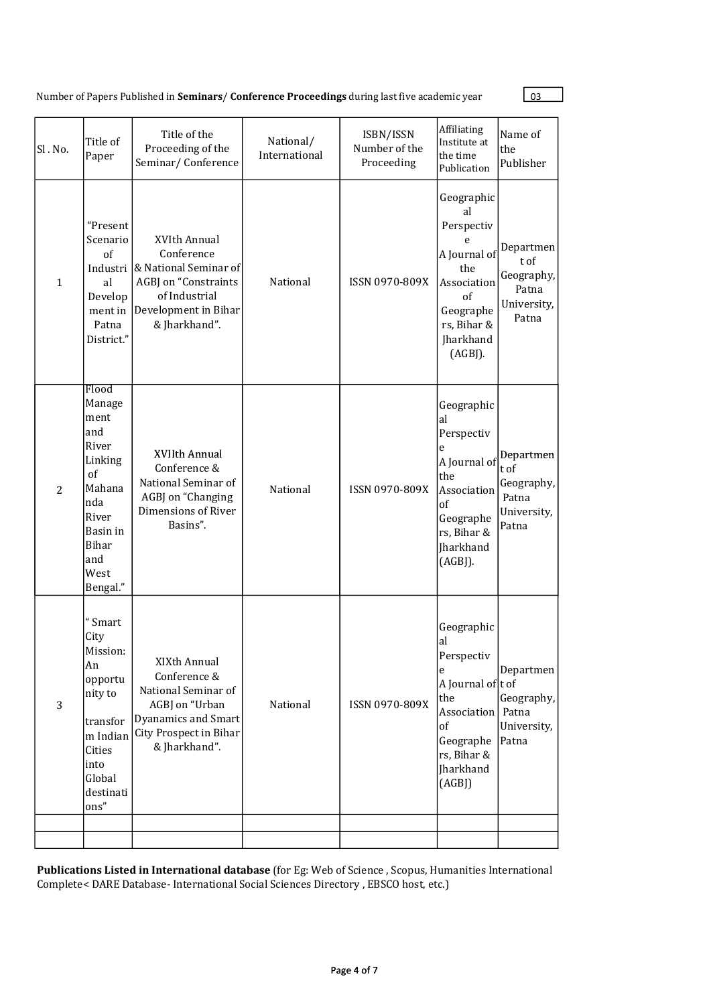Number of Papers Published in **Seminars/ Conference Proceedings** during last five academic year 03

| Sl. No.        | Title of<br>Paper                                                                                                                         | Title of the<br>Proceeding of the<br>Seminar/Conference                                                                                 | National/<br>International | ISBN/ISSN<br>Number of the<br>Proceeding | Affiliating<br>Institute at<br>the time<br>Publication                                                                                  | Name of<br>the<br>Publisher                                      |
|----------------|-------------------------------------------------------------------------------------------------------------------------------------------|-----------------------------------------------------------------------------------------------------------------------------------------|----------------------------|------------------------------------------|-----------------------------------------------------------------------------------------------------------------------------------------|------------------------------------------------------------------|
| $\mathbf{1}$   | "Present<br>Scenario<br>of<br>Industri<br>al<br>Develop<br>ment in<br>Patna<br>District."                                                 | XVIth Annual<br>Conference<br>& National Seminar of<br>AGBJ on "Constraints<br>of Industrial<br>Development in Bihar<br>& Jharkhand".   | National                   | ISSN 0970-809X                           | Geographic<br>al<br>Perspectiv<br>e<br>A Journal of<br>the<br>Association<br>of<br>Geographe<br>rs, Bihar &<br>Jharkhand<br>(AGBJ).     | Departmen<br>t of<br>Geography,<br>Patna<br>University,<br>Patna |
| $\overline{2}$ | Flood<br>Manage<br>ment<br>and<br>River<br>Linking<br>of<br>Mahana<br>nda<br>River<br>Basin in<br><b>Bihar</b><br>and<br>West<br>Bengal." | XVIIth Annual<br>Conference &<br>National Seminar of<br>AGBJ on "Changing<br>Dimensions of River<br>Basins".                            | National                   | ISSN 0970-809X                           | Geographic<br>al<br>Perspectiv<br>e<br>A Journal of<br>the<br>Association<br>of<br>Geographe<br>rs, Bihar &<br>Jharkhand<br>$(AGB$ ].   | Departmen<br>t of<br>Geography,<br>Patna<br>University,<br>Patna |
| 3              | "Smart<br>City<br>Mission:<br>An<br>opportu<br>nity to<br>transfor<br>m Indian<br>Cities<br>into<br>Global<br>destinati<br>$ons''$        | XIXth Annual<br>Conference &<br>National Seminar of<br>AGBJ on "Urban<br>Dyanamics and Smart<br>City Prospect in Bihar<br>& Jharkhand". | National                   | ISSN 0970-809X                           | Geographic<br>al<br>Perspectiv<br>e<br>A Journal of t of<br>the<br>Association<br>of<br>Geographe<br>rs, Bihar &<br>Jharkhand<br>(AGBJ) | Departmen<br>Geography,<br>Patna<br>University,<br>Patna         |
|                |                                                                                                                                           |                                                                                                                                         |                            |                                          |                                                                                                                                         |                                                                  |

Publications Listed in International database (for Eg: Web of Science, Scopus, Humanities International Complete< DARE Database- International Social Sciences Directory , EBSCO host, etc.)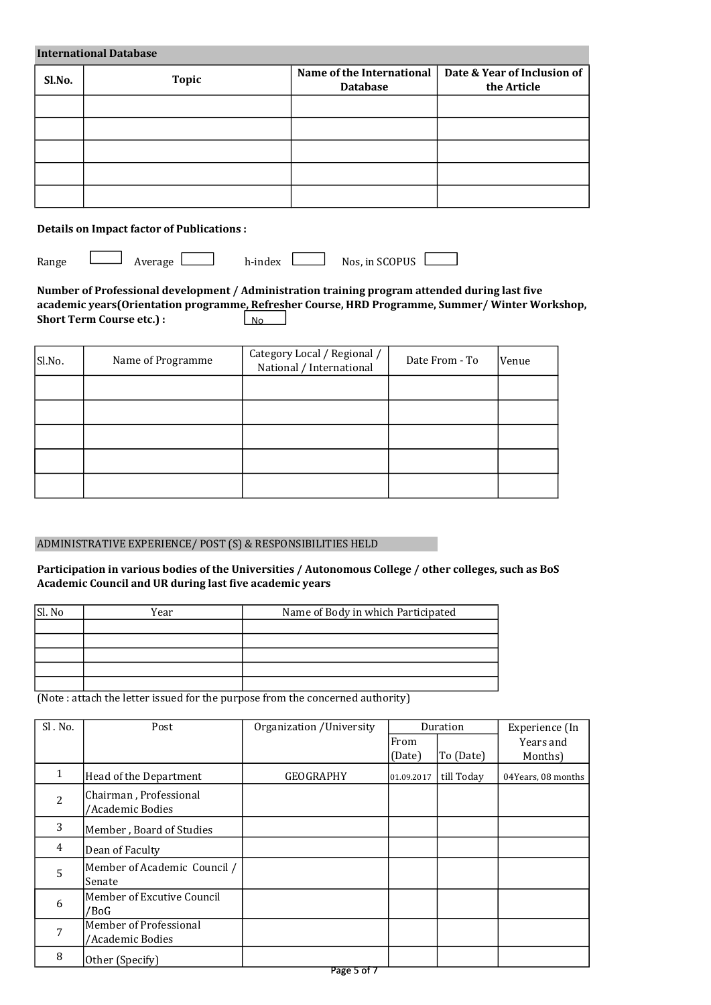| <b>International Database</b> |              |                                              |                                            |  |  |  |
|-------------------------------|--------------|----------------------------------------------|--------------------------------------------|--|--|--|
| Sl.No.                        | <b>Topic</b> | Name of the International<br><b>Database</b> | Date & Year of Inclusion of<br>the Article |  |  |  |
|                               |              |                                              |                                            |  |  |  |
|                               |              |                                              |                                            |  |  |  |
|                               |              |                                              |                                            |  |  |  |
|                               |              |                                              |                                            |  |  |  |
|                               |              |                                              |                                            |  |  |  |

## Details on Impact factor of Publications :

Range

Average h-index Nos, in SCOPUS

Number of Professional development / Administration training program attended during last five academic years(Orientation programme, Refresher Course, HRD Programme, Summer/ Winter Workshop, Short Term Course etc.) : No<sub>1</sub>

| Sl.No. | Name of Programme | Category Local / Regional /<br>National / International | Date From - To | Venue |
|--------|-------------------|---------------------------------------------------------|----------------|-------|
|        |                   |                                                         |                |       |
|        |                   |                                                         |                |       |
|        |                   |                                                         |                |       |
|        |                   |                                                         |                |       |
|        |                   |                                                         |                |       |

#### ADMINISTRATIVE EXPERIENCE/ POST (S) & RESPONSIBILITIES HELD

Participation in various bodies of the Universities / Autonomous College / other colleges, such as BoS Academic Council and UR during last five academic years

| Sl. No | Year | Name of Body in which Participated |
|--------|------|------------------------------------|
|        |      |                                    |
|        |      |                                    |
|        |      |                                    |
|        |      |                                    |
|        |      |                                    |

(Note : attach the letter issued for the purpose from the concerned authority)

| Sl. No. | Post                                       | Organization / University |            | Duration   | Experience (In     |
|---------|--------------------------------------------|---------------------------|------------|------------|--------------------|
|         |                                            |                           | From       |            | Years and          |
|         |                                            |                           | (Date)     | To (Date)  | Months)            |
| 1       | Head of the Department                     | <b>GEOGRAPHY</b>          | 01.09.2017 | till Today | 04Years, 08 months |
| 2       | Chairman, Professional<br>/Academic Bodies |                           |            |            |                    |
| 3       | Member, Board of Studies                   |                           |            |            |                    |
| 4       | Dean of Faculty                            |                           |            |            |                    |
| 5       | Member of Academic Council /<br>Senate     |                           |            |            |                    |
| 6       | Member of Excutive Council<br>/BoG         |                           |            |            |                    |
| 7       | Member of Professional<br>/Academic Bodies |                           |            |            |                    |
| 8       | Other (Specify)                            |                           |            |            |                    |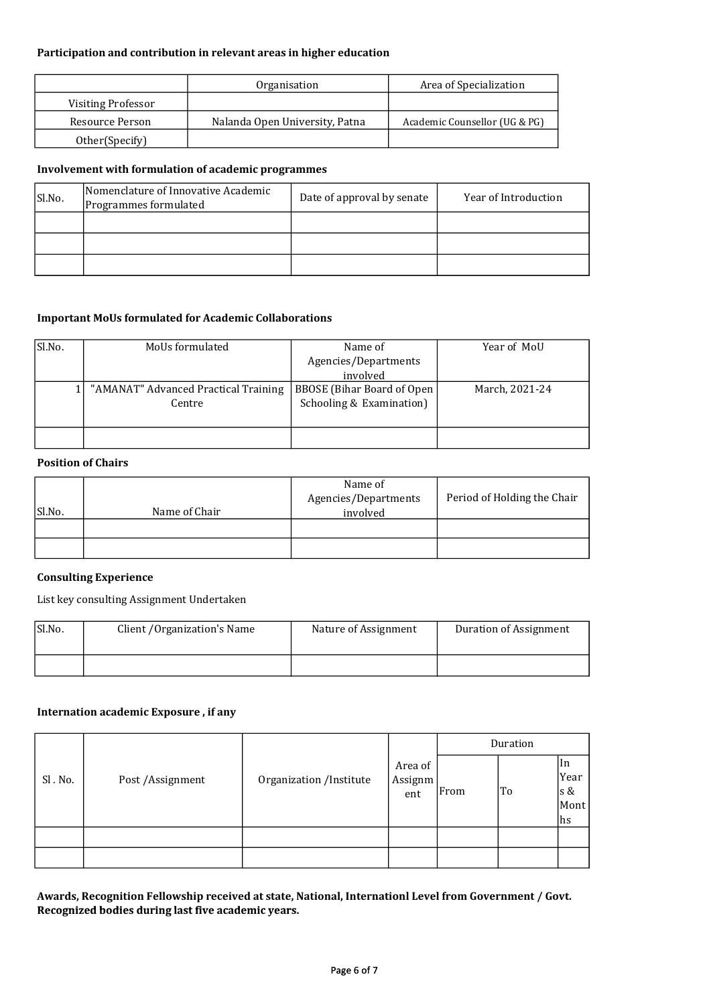#### Participation and contribution in relevant areas in higher education

|                    | Organisation                   | Area of Specialization        |
|--------------------|--------------------------------|-------------------------------|
| Visiting Professor |                                |                               |
| Resource Person    | Nalanda Open University, Patna | Academic Counsellor (UG & PG) |
| Other(Specify)     |                                |                               |

## Involvement with formulation of academic programmes

| Sl.No. | Nomenclature of Innovative Academic<br>Programmes formulated | Date of approval by senate | Year of Introduction |
|--------|--------------------------------------------------------------|----------------------------|----------------------|
|        |                                                              |                            |                      |
|        |                                                              |                            |                      |
|        |                                                              |                            |                      |

#### Important MoUs formulated for Academic Collaborations

| Sl.No. | MoUs formulated                      | Name of                    |                |
|--------|--------------------------------------|----------------------------|----------------|
|        |                                      | Agencies/Departments       |                |
|        |                                      | involved                   |                |
|        | "AMANAT" Advanced Practical Training | BBOSE (Bihar Board of Open | March, 2021-24 |
|        | Centre                               | Schooling & Examination)   |                |
|        |                                      |                            |                |
|        |                                      |                            |                |

#### Position of Chairs

| Sl.No. | Name of Chair | Name of<br>Agencies/Departments<br>involved | Period of Holding the Chair |
|--------|---------------|---------------------------------------------|-----------------------------|
|        |               |                                             |                             |
|        |               |                                             |                             |

#### Consulting Experience

List key consulting Assignment Undertaken

| Sl.No. | Client / Organization's Name | Nature of Assignment | Duration of Assignment |
|--------|------------------------------|----------------------|------------------------|
|        |                              |                      |                        |

## Internation academic Exposure , if any

|         |                   | Organization /Institute |                           | Duration |    |                                  |
|---------|-------------------|-------------------------|---------------------------|----------|----|----------------------------------|
| Sl. No. | Post / Assignment |                         | Area of<br>Assignm<br>ent | From     | To | In<br>Year<br>s &<br>Mont<br> hs |
|         |                   |                         |                           |          |    |                                  |
|         |                   |                         |                           |          |    |                                  |

Awards, Recognition Fellowship received at state, National, Internationl Level from Government / Govt. Recognized bodies during last five academic years.